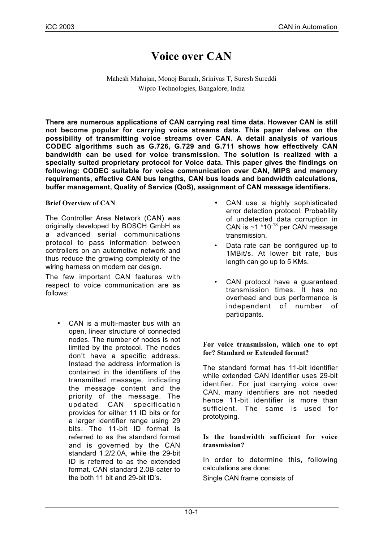# **Voice over CAN**

Mahesh Mahajan, Monoj Baruah, Srinivas T, Suresh Sureddi Wipro Technologies, Bangalore, India

**There are numerous applications of CAN carrying real time data. However CAN is still not become popular for carrying voice streams data. This paper delves on the possibility of transmitting voice streams over CAN. A detail analysis of various CODEC algorithms such as G.726, G.729 and G.711 shows how effectively CAN bandwidth can be used for voice transmission. The solution is realized with a specially suited proprietary protocol for Voice data. This paper gives the findings on following: CODEC suitable for voice communication over CAN, MIPS and memory requirements, effective CAN bus lengths, CAN bus loads and bandwidth calculations, buffer management, Quality of Service (QoS), assignment of CAN message identifiers.**

## **Brief Overview of CAN**

The Controller Area Network (CAN) was originally developed by BOSCH GmbH as a advanced serial communications protocol to pass information between controllers on an automotive network and thus reduce the growing complexity of the wiring harness on modern car design.

The few important CAN features with respect to voice communication are as follows:

• CAN is a multi-master bus with an open, linear structure of connected nodes. The number of nodes is not limited by the protocol. The nodes don't have a specific address. Instead the address information is contained in the identifiers of the transmitted message, indicating the message content and the priority of the message. The updated CAN specification provides for either 11 ID bits or for a larger identifier range using 29 bits. The 11-bit ID format is referred to as the standard format and is governed by the CAN standard 1.2/2.0A, while the 29-bit ID is referred to as the extended format. CAN standard 2.0B cater to the both 11 bit and 29-bit ID's.

- CAN use a highly sophisticated error detection protocol. Probability of undetected data corruption in CAN is ~1 \*10-13 per CAN message transmission.
- Data rate can be configured up to 1MBit/s. At lower bit rate, bus length can go up to 5 KMs.
- CAN protocol have a guaranteed transmission times. It has no overhead and bus performance is independent of number of participants.

### **For voice transmission, which one to opt for? Standard or Extended format?**

The standard format has 11-bit identifier while extended CAN identifier uses 29-bit identifier. For just carrying voice over CAN, many identifiers are not needed hence 11-bit identifier is more than sufficient. The same is used for prototyping.

### **Is the bandwidth sufficient for voice transmission?**

In order to determine this, following calculations are done:

Single CAN frame consists of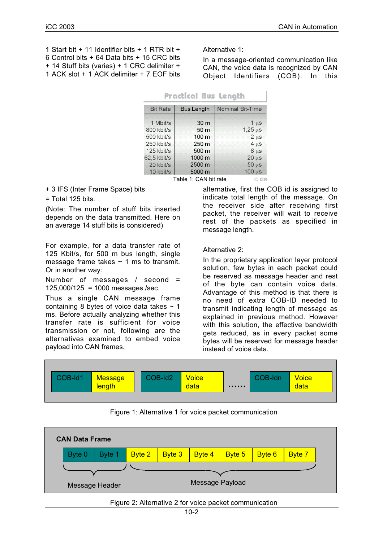1 Start bit + 11 Identifier bits + 1 RTR bit + 6 Control bits + 64 Data bits + 15 CRC bits + 14 Stuff bits (varies) + 1 CRC delimiter + 1 ACK slot + 1 ACK delimiter + 7 EOF bits Alternative 1:

In a message-oriented communication like CAN, the voice data is recognized by CAN Object Identifiers (COB). In this

| Practical DUS Length  |                   |                         |  |  |  |  |
|-----------------------|-------------------|-------------------------|--|--|--|--|
| <b>Bit Rate</b>       | <b>Bus Length</b> | <b>Nominal Bit-Time</b> |  |  |  |  |
| 1 Mbit/s              | 30 m              | 1 <sub>u</sub> s        |  |  |  |  |
| 800 kbit/s            | 50 m              | $1,25 \,\mathrm{us}$    |  |  |  |  |
| 500 kbit/s            | 100 m             | $2 \mu s$               |  |  |  |  |
| 250 kbit/s            | 250 m             | $4 \mu s$               |  |  |  |  |
| 125 kbit/s            | 500 m             | $8 \mu s$               |  |  |  |  |
| 62,5 kbit/s           | 1000 m            | 20 <sub>u</sub> s       |  |  |  |  |
| 20 kbit/s             | 2500 m            | $50 \mu s$              |  |  |  |  |
| 10 kbit/s             | 5000 m            | $100 \mu s$             |  |  |  |  |
| Table 1: CAN bit rate |                   |                         |  |  |  |  |

+ 3 IFS (Inter Frame Space) bits

= Total 125 bits.

(Note: The number of stuff bits inserted depends on the data transmitted. Here on an average 14 stuff bits is considered)

For example, for a data transfer rate of 125 Kbit/s, for 500 m bus length, single message frame takes  $\sim$  1 ms to transmit. Or in another way:

Number of messages / second = 125,000/125 = 1000 messages /sec.

Thus a single CAN message frame containing 8 bytes of voice data takes  $\sim$  1 ms. Before actually analyzing whether this transfer rate is sufficient for voice transmission or not, following are the alternatives examined to embed voice payload into CAN frames.

alternative, first the COB id is assigned to indicate total length of the message. On the receiver side after receiving first packet, the receiver will wait to receive rest of the packets as specified in message length.

Alternative 2:

In the proprietary application layer protocol solution, few bytes in each packet could be reserved as message header and rest of the byte can contain voice data. Advantage of this method is that there is no need of extra COB-ID needed to transmit indicating length of message as explained in previous method. However with this solution, the effective bandwidth gets reduced, as in every packet some bytes will be reserved for message header instead of voice data.



Figure 1: Alternative 1 for voice packet communication



Figure 2: Alternative 2 for voice packet communication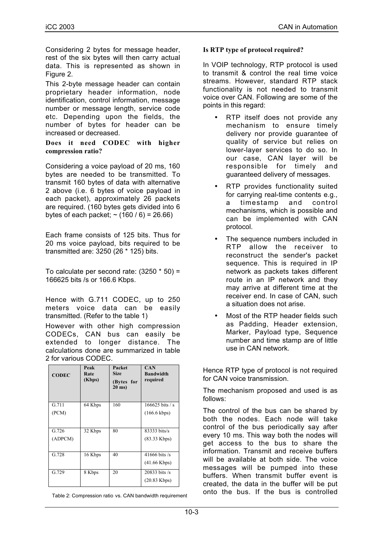Considering 2 bytes for message header, rest of the six bytes will then carry actual data. This is represented as shown in Figure 2.

This 2-byte message header can contain proprietary header information, node identification, control information, message number or message length, service code etc. Depending upon the fields, the number of bytes for header can be increased or decreased.

#### **Does it need CODEC with higher compression ratio?**

Considering a voice payload of 20 ms, 160 bytes are needed to be transmitted. To transmit 160 bytes of data with alternative 2 above (i.e. 6 bytes of voice payload in each packet), approximately 26 packets are required. (160 bytes gets divided into 6 bytes of each packet;  $\sim$  (160 / 6) = 26.66)

Each frame consists of 125 bits. Thus for 20 ms voice payload, bits required to be transmitted are: 3250 (26 \* 125) bits.

To calculate per second rate: (3250 \* 50) = 166625 bits /s or 166.6 Kbps.

Hence with G.711 CODEC, up to 250 meters voice data can be easily transmitted. (Refer to the table 1)

However with other high compression CODECs, CAN bus can easily be extended to longer distance. The calculations done are summarized in table 2 for various CODEC.

| <b>CODEC</b> | Peak<br>Rate<br>(Kbps) | Packet<br><b>Size</b><br>(Bytes for<br>$20$ ms) | <b>CAN</b><br><b>Bandwidth</b><br>required |
|--------------|------------------------|-------------------------------------------------|--------------------------------------------|
| G.711        | 64 Kbps                | 160                                             | $166625$ bits / s                          |
| (PCM)        |                        |                                                 | $(166.6 \text{ kbps})$                     |
| G.726        | 32 Kbps                | 80                                              | 83333 bits/s                               |
| (ADPCM)      |                        |                                                 | $(83.33$ Kbps)                             |
| G.728        | 16 Kbps                | 40                                              | 41666 bits $/s$                            |
|              |                        |                                                 | $(41.66 \text{ Kbps})$                     |
| G.729        | 8 Kbps                 | 20                                              | $20833$ bits /s                            |
|              |                        |                                                 | $(20.83$ Kbps)                             |

Table 2: Compression ratio vs. CAN bandwidth requirement

## **Is RTP type of protocol required?**

In VOIP technology, RTP protocol is used to transmit & control the real time voice streams. However, standard RTP stack functionality is not needed to transmit voice over CAN. Following are some of the points in this regard:

- RTP itself does not provide any mechanism to ensure timely delivery nor provide guarantee of quality of service but relies on lower-layer services to do so. In our case, CAN layer will be responsible for timely and guaranteed delivery of messages.
- RTP provides functionality suited for carrying real-time contents e.g., a timestamp and control mechanisms, which is possible and can be implemented with CAN protocol.
- The sequence numbers included in RTP allow the receiver to reconstruct the sender's packet sequence. This is required in IP network as packets takes different route in an IP network and they may arrive at different time at the receiver end. In case of CAN, such a situation does not arise.
- Most of the RTP header fields such as Padding, Header extension, Marker, Payload type, Sequence number and time stamp are of little use in CAN network.

Hence RTP type of protocol is not required for CAN voice transmission.

The mechanism proposed and used is as follows:

The control of the bus can be shared by both the nodes. Each node will take control of the bus periodically say after every 10 ms. This way both the nodes will get access to the bus to share the information. Transmit and receive buffers will be available at both side. The voice messages will be pumped into these buffers. When transmit buffer event is created, the data in the buffer will be put<br>onto the bus. If the bus is controlled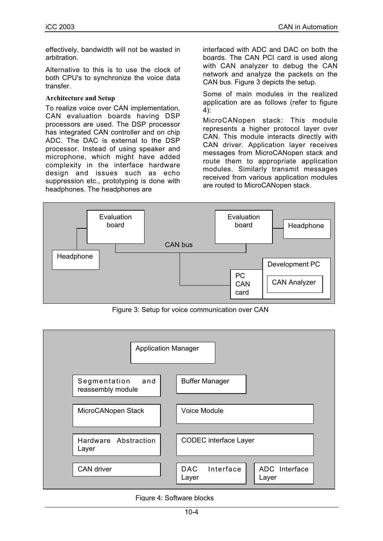effectively, bandwidth will not be wasted in arbitration.

Alternative to this is to use the clock of both CPU's to synchronize the voice data transfer.

## **Architecture and Setup**

To realize voice over CAN implementation, CAN evaluation boards having DSP processors are used. The DSP processor has integrated CAN controller and on chip ADC. The DAC is external to the DSP processor. Instead of using speaker and microphone, which might have added complexity in the interface hardware design and issues such as echo suppression etc., prototyping is done with headphones. The headphones are

interfaced with ADC and DAC on both the boards. The CAN PCI card is used along with CAN analyzer to debug the CAN network and analyze the packets on the CAN bus. Figure 3 depicts the setup.

Some of main modules in the realized application are as follows (refer to figure 4):

MicroCANopen stack: This module represents a higher protocol layer over CAN. This module interacts directly with CAN driver. Application layer receives messages from MicroCANopen stack and route them to appropriate application modules. Similarly transmit messages received from various application modules are routed to MicroCANopen stack.



Figure 3: Setup for voice communication over CAN



Figure 4: Software blocks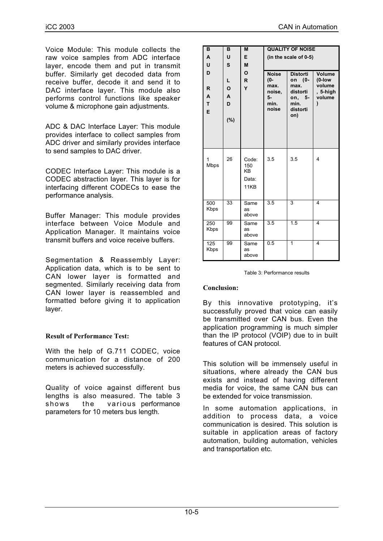Voice Module: This module collects the raw voice samples from ADC interface layer, encode them and put in transmit buffer. Similarly get decoded data from receive buffer, decode it and send it to DAC interface layer. This module also performs control functions like speaker volume & microphone gain adjustments.

ADC & DAC Interface Layer: This module provides interface to collect samples from ADC driver and similarly provides interface to send samples to DAC driver.

CODEC Interface Layer: This module is a CODEC abstraction layer. This layer is for interfacing different CODECs to ease the performance analysis.

Buffer Manager: This module provides interface between Voice Module and Application Manager. It maintains voice transmit buffers and voice receive buffers.

Segmentation & Reassembly Layer: Application data, which is to be sent to CAN lower layer is formatted and segmented. Similarly receiving data from CAN lower layer is reassembled and formatted before giving it to application layer.

### **Result of Performance Test:**

With the help of G.711 CODEC, voice communication for a distance of 200 meters is achieved successfully.

Quality of voice against different bus lengths is also measured. The table 3 shows the various performance parameters for 10 meters bus length.

| B<br>A<br>U<br>D<br>R<br>A<br>T<br>E | в<br>U<br>S<br>L<br>O<br>A<br>D<br>(%) | M<br>E<br>M<br>O<br>R<br>Y                 | <b>Noise</b><br>$(0 -$<br>max.<br>noise,<br>5-<br>min.<br>noise | <b>QUALITY OF NOISE</b><br>(in the scale of 0-5)<br><b>Distorti</b><br>on (0-<br>max.<br>distorti<br>on,<br>-5 -<br>min.<br>distorti<br>on) | Volume<br>$(0$ -low<br>volume<br>, 5-high<br>volume<br>١ |
|--------------------------------------|----------------------------------------|--------------------------------------------|-----------------------------------------------------------------|---------------------------------------------------------------------------------------------------------------------------------------------|----------------------------------------------------------|
| 1<br>Mbps                            | 26                                     | Code:<br>150<br><b>KB</b><br>Data:<br>11KB | 3.5                                                             | 3.5                                                                                                                                         | 4                                                        |
| 500<br>Kbps                          | 33                                     | Same<br><b>as</b><br>above                 | 3.5                                                             | 3                                                                                                                                           | 4                                                        |
| 250<br>Kbps                          | 99                                     | Same<br><b>as</b><br>above                 | 3.5                                                             | $\overline{1.5}$                                                                                                                            | 4                                                        |
| 125<br>Kbps                          | 99                                     | Same<br>as<br>above                        | $\overline{0.5}$                                                | 1                                                                                                                                           | 4                                                        |

Table 3: Performance results

#### **Conclusion:**

By this innovative prototyping, it's successfully proved that voice can easily be transmitted over CAN bus. Even the application programming is much simpler than the IP protocol (VOIP) due to in built features of CAN protocol.

This solution will be immensely useful in situations, where already the CAN bus exists and instead of having different media for voice, the same CAN bus can be extended for voice transmission.

In some automation applications, in addition to process data, a voice communication is desired. This solution is suitable in application areas of factory automation, building automation, vehicles and transportation etc.